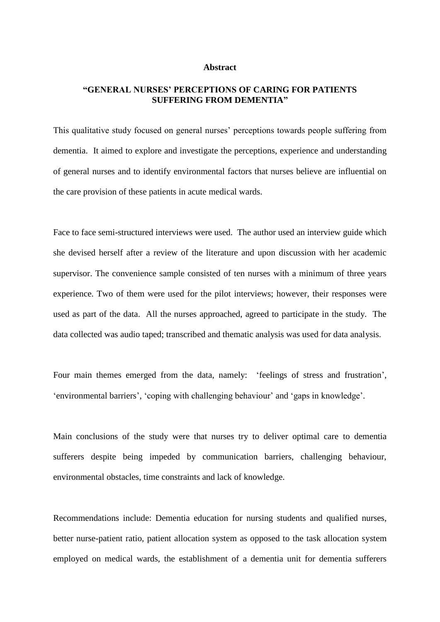## **Abstract**

## **"GENERAL NURSES' PERCEPTIONS OF CARING FOR PATIENTS SUFFERING FROM DEMENTIA"**

This qualitative study focused on general nurses' perceptions towards people suffering from dementia. It aimed to explore and investigate the perceptions, experience and understanding of general nurses and to identify environmental factors that nurses believe are influential on the care provision of these patients in acute medical wards.

Face to face semi-structured interviews were used. The author used an interview guide which she devised herself after a review of the literature and upon discussion with her academic supervisor. The convenience sample consisted of ten nurses with a minimum of three years experience. Two of them were used for the pilot interviews; however, their responses were used as part of the data. All the nurses approached, agreed to participate in the study. The data collected was audio taped; transcribed and thematic analysis was used for data analysis.

Four main themes emerged from the data, namely: 'feelings of stress and frustration', 'environmental barriers', 'coping with challenging behaviour' and 'gaps in knowledge'.

Main conclusions of the study were that nurses try to deliver optimal care to dementia sufferers despite being impeded by communication barriers, challenging behaviour, environmental obstacles, time constraints and lack of knowledge.

Recommendations include: Dementia education for nursing students and qualified nurses, better nurse-patient ratio, patient allocation system as opposed to the task allocation system employed on medical wards, the establishment of a dementia unit for dementia sufferers